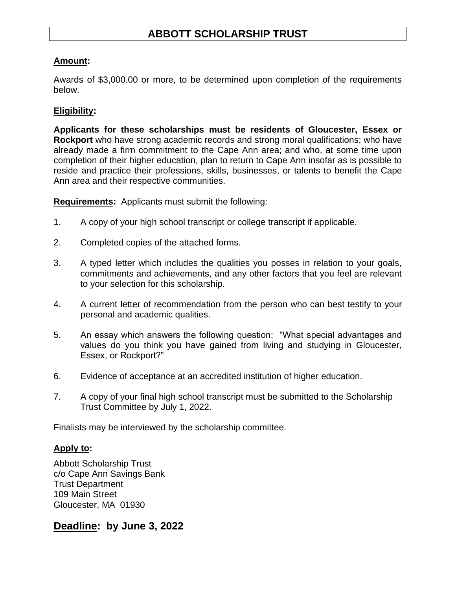# **ABBOTT SCHOLARSHIP TRUST**

#### **Amount:**

Awards of \$3,000.00 or more, to be determined upon completion of the requirements below.

#### **Eligibility:**

**Applicants for these scholarships must be residents of Gloucester, Essex or Rockport** who have strong academic records and strong moral qualifications; who have already made a firm commitment to the Cape Ann area; and who, at some time upon completion of their higher education, plan to return to Cape Ann insofar as is possible to reside and practice their professions, skills, businesses, or talents to benefit the Cape Ann area and their respective communities.

**Requirements:** Applicants must submit the following:

- 1. A copy of your high school transcript or college transcript if applicable.
- 2. Completed copies of the attached forms.
- 3. A typed letter which includes the qualities you posses in relation to your goals, commitments and achievements, and any other factors that you feel are relevant to your selection for this scholarship.
- 4. A current letter of recommendation from the person who can best testify to your personal and academic qualities.
- 5. An essay which answers the following question: "What special advantages and values do you think you have gained from living and studying in Gloucester, Essex, or Rockport?"
- 6. Evidence of acceptance at an accredited institution of higher education.
- 7. A copy of your final high school transcript must be submitted to the Scholarship Trust Committee by July 1, 2022.

Finalists may be interviewed by the scholarship committee.

#### **Apply to:**

Abbott Scholarship Trust c/o Cape Ann Savings Bank Trust Department 109 Main Street Gloucester, MA 01930

### **Deadline: by June 3, 2022**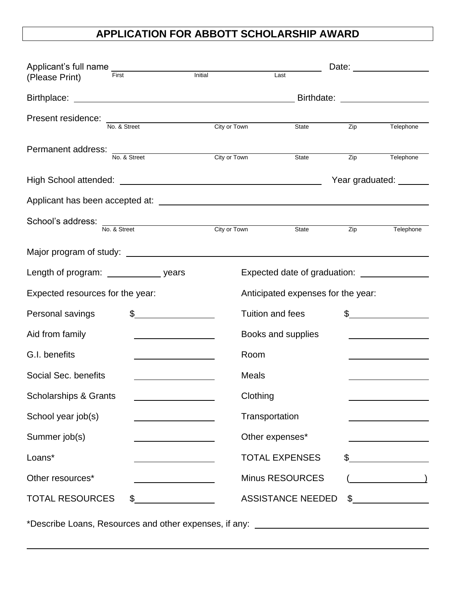# **APPLICATION FOR ABBOTT SCHOLARSHIP AWARD**

| Applicant's full name _________________                                          |                                             |         |                                    |                          |     | Date: the contract of the contract of the contract of the contract of the contract of the contract of the contract of the contract of the contract of the contract of the contract of the contract of the contract of the cont                                                                                                                                                                                                  |  |  |
|----------------------------------------------------------------------------------|---------------------------------------------|---------|------------------------------------|--------------------------|-----|---------------------------------------------------------------------------------------------------------------------------------------------------------------------------------------------------------------------------------------------------------------------------------------------------------------------------------------------------------------------------------------------------------------------------------|--|--|
| First<br>(Please Print)                                                          |                                             | Initial |                                    | Last                     |     |                                                                                                                                                                                                                                                                                                                                                                                                                                 |  |  |
|                                                                                  |                                             |         |                                    |                          |     |                                                                                                                                                                                                                                                                                                                                                                                                                                 |  |  |
| Present residence: No. & Street                                                  |                                             |         | City or Town                       |                          |     |                                                                                                                                                                                                                                                                                                                                                                                                                                 |  |  |
|                                                                                  |                                             |         |                                    | State                    | Zip | Telephone                                                                                                                                                                                                                                                                                                                                                                                                                       |  |  |
| Permanent address:<br>No. & Street                                               |                                             |         | City or Town                       | State                    | Zip | Telephone                                                                                                                                                                                                                                                                                                                                                                                                                       |  |  |
|                                                                                  |                                             |         | Year graduated:                    |                          |     |                                                                                                                                                                                                                                                                                                                                                                                                                                 |  |  |
|                                                                                  |                                             |         |                                    |                          |     |                                                                                                                                                                                                                                                                                                                                                                                                                                 |  |  |
| School's address: $\frac{1}{\text{No. & Street}}$                                |                                             |         | City or Town                       | State                    | Zip | Telephone                                                                                                                                                                                                                                                                                                                                                                                                                       |  |  |
|                                                                                  |                                             |         |                                    |                          |     |                                                                                                                                                                                                                                                                                                                                                                                                                                 |  |  |
|                                                                                  |                                             |         |                                    |                          |     |                                                                                                                                                                                                                                                                                                                                                                                                                                 |  |  |
|                                                                                  |                                             |         |                                    |                          |     |                                                                                                                                                                                                                                                                                                                                                                                                                                 |  |  |
| Expected resources for the year:                                                 |                                             |         | Anticipated expenses for the year: |                          |     |                                                                                                                                                                                                                                                                                                                                                                                                                                 |  |  |
| Personal savings                                                                 |                                             |         |                                    | Tuition and fees         |     | $\frac{1}{\sqrt{1-\frac{1}{2}}}\frac{1}{\sqrt{1-\frac{1}{2}}}\frac{1}{\sqrt{1-\frac{1}{2}}}\frac{1}{\sqrt{1-\frac{1}{2}}}\frac{1}{\sqrt{1-\frac{1}{2}}}\frac{1}{\sqrt{1-\frac{1}{2}}}\frac{1}{\sqrt{1-\frac{1}{2}}}\frac{1}{\sqrt{1-\frac{1}{2}}}\frac{1}{\sqrt{1-\frac{1}{2}}}\frac{1}{\sqrt{1-\frac{1}{2}}}\frac{1}{\sqrt{1-\frac{1}{2}}}\frac{1}{\sqrt{1-\frac{1}{2}}}\frac{1}{\sqrt{1-\frac{1}{2}}}\frac{1}{\sqrt{1-\frac{$ |  |  |
| Aid from family                                                                  |                                             |         |                                    | Books and supplies       |     |                                                                                                                                                                                                                                                                                                                                                                                                                                 |  |  |
| G.I. benefits                                                                    |                                             |         | Room                               |                          |     |                                                                                                                                                                                                                                                                                                                                                                                                                                 |  |  |
| Social Sec. benefits                                                             |                                             |         | <b>Meals</b>                       |                          |     |                                                                                                                                                                                                                                                                                                                                                                                                                                 |  |  |
| <b>Scholarships &amp; Grants</b>                                                 |                                             |         | Clothing                           |                          |     |                                                                                                                                                                                                                                                                                                                                                                                                                                 |  |  |
| School year job(s)                                                               |                                             |         | Transportation                     |                          |     |                                                                                                                                                                                                                                                                                                                                                                                                                                 |  |  |
| Summer job(s)                                                                    |                                             |         |                                    | Other expenses*          |     |                                                                                                                                                                                                                                                                                                                                                                                                                                 |  |  |
| Loans*                                                                           |                                             |         |                                    | <b>TOTAL EXPENSES</b>    |     | $\frac{1}{2}$                                                                                                                                                                                                                                                                                                                                                                                                                   |  |  |
| Other resources*                                                                 | <u> 1980 - Jan Barnett, fransk kongresu</u> |         |                                    | <b>Minus RESOURCES</b>   |     | $\overline{\phantom{a}}$ )                                                                                                                                                                                                                                                                                                                                                                                                      |  |  |
| <b>TOTAL RESOURCES</b>                                                           | $\frac{1}{2}$                               |         |                                    | <b>ASSISTANCE NEEDED</b> |     | $\frac{1}{2}$                                                                                                                                                                                                                                                                                                                                                                                                                   |  |  |
| *Describe Loans, Resources and other expenses, if any: _________________________ |                                             |         |                                    |                          |     |                                                                                                                                                                                                                                                                                                                                                                                                                                 |  |  |